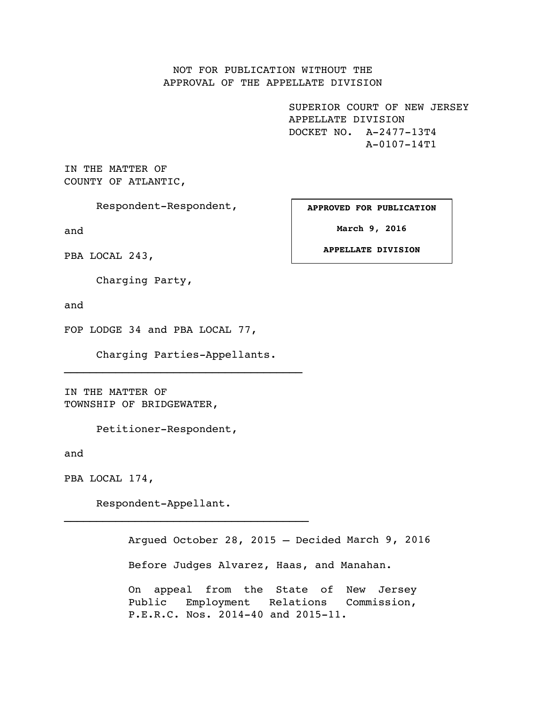NOT FOR PUBLICATION WITHOUT THE APPROVAL OF THE APPELLATE DIVISION

> SUPERIOR COURT OF NEW JERSEY APPELLATE DIVISION DOCKET NO. A-2477-13T4 A-0107-14T1

IN THE MATTER OF COUNTY OF ATLANTIC,

Respondent-Respondent,

and

PBA LOCAL 243,

Charging Party,

and

FOP LODGE 34 and PBA LOCAL 77,

Charging Parties-Appellants.

IN THE MATTER OF TOWNSHIP OF BRIDGEWATER,

Petitioner-Respondent,

and

PBA LOCAL 174,

Respondent-Appellant.

Argued October 28, 2015 – Decided March 9, 2016Before Judges Alvarez, Haas, and Manahan. On appeal from the State of New Jersey Public Employment Relations Commission, P.E.R.C. Nos. 2014-40 and 2015-11.

**APPROVED FOR PUBLICATION**

**March 9, 2016**

**APPELLATE DIVISION**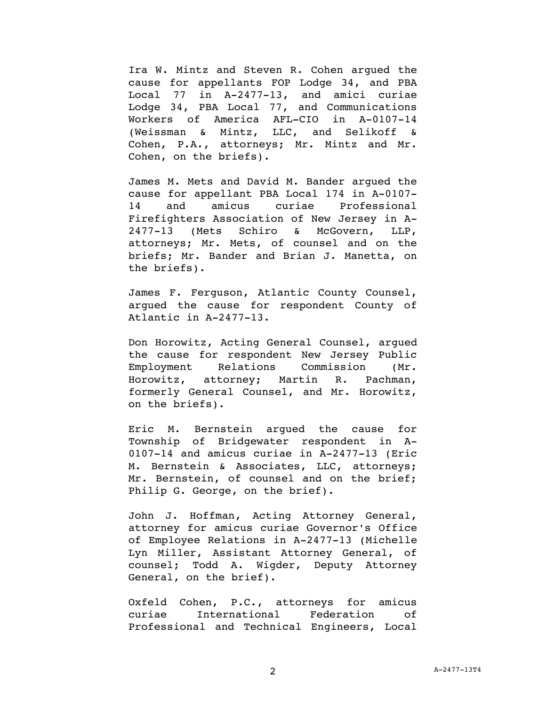Ira W. Mintz and Steven R. Cohen argued the cause for appellants FOP Lodge 34, and PBA Local 77 in A-2477-13, and amici curiae Lodge 34, PBA Local 77, and Communications Workers of America AFL-CIO in A-0107-14 (Weissman & Mintz, LLC, and Selikoff & Cohen, P.A., attorneys; Mr. Mintz and Mr. Cohen, on the briefs).

James M. Mets and David M. Bander argued the cause for appellant PBA Local 174 in A-0107- 14 and amicus curiae Professional Firefighters Association of New Jersey in A-2477-13 (Mets Schiro & McGovern, LLP, attorneys; Mr. Mets, of counsel and on the briefs; Mr. Bander and Brian J. Manetta, on the briefs).

James F. Ferguson, Atlantic County Counsel, argued the cause for respondent County of Atlantic in A-2477-13.

Don Horowitz, Acting General Counsel, argued the cause for respondent New Jersey Public Employment Relations Commission (Mr. Horowitz, attorney; Martin R. Pachman, formerly General Counsel, and Mr. Horowitz, on the briefs).

Eric M. Bernstein argued the cause for Township of Bridgewater respondent in A-0107-14 and amicus curiae in A-2477-13 (Eric M. Bernstein & Associates, LLC, attorneys; Mr. Bernstein, of counsel and on the brief; Philip G. George, on the brief).

John J. Hoffman, Acting Attorney General, attorney for amicus curiae Governor's Office of Employee Relations in A-2477-13 (Michelle Lyn Miller, Assistant Attorney General, of counsel; Todd A. Wigder, Deputy Attorney General, on the brief).

Oxfeld Cohen, P.C., attorneys for amicus curiae International Federation of Professional and Technical Engineers, Local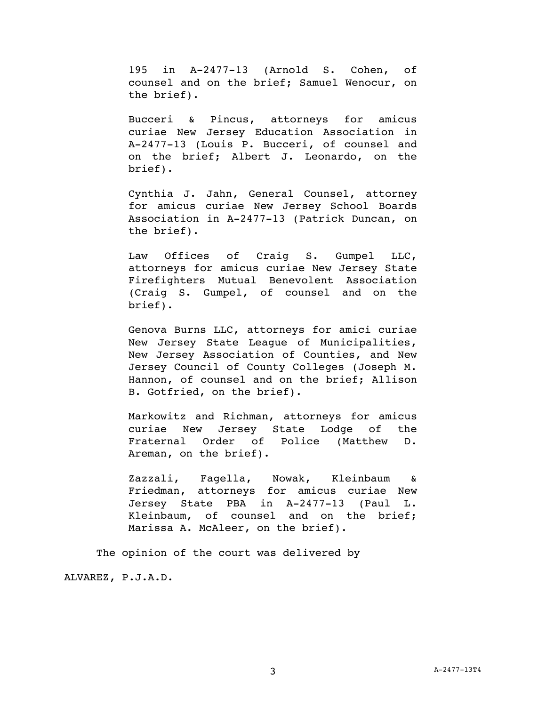195 in A-2477-13 (Arnold S. Cohen, of counsel and on the brief; Samuel Wenocur, on the brief).

Bucceri & Pincus, attorneys for amicus curiae New Jersey Education Association in A-2477-13 (Louis P. Bucceri, of counsel and on the brief; Albert J. Leonardo, on the brief).

Cynthia J. Jahn, General Counsel, attorney for amicus curiae New Jersey School Boards Association in A-2477-13 (Patrick Duncan, on the brief).

Law Offices of Craig S. Gumpel LLC, attorneys for amicus curiae New Jersey State Firefighters Mutual Benevolent Association (Craig S. Gumpel, of counsel and on the brief).

Genova Burns LLC, attorneys for amici curiae New Jersey State League of Municipalities, New Jersey Association of Counties, and New Jersey Council of County Colleges (Joseph M. Hannon, of counsel and on the brief; Allison B. Gotfried, on the brief).

Markowitz and Richman, attorneys for amicus curiae New Jersey State Lodge of the Fraternal Order of Police (Matthew D. Areman, on the brief).

Zazzali, Fagella, Nowak, Kleinbaum & Friedman, attorneys for amicus curiae New Jersey State PBA in A-2477-13 (Paul L. Kleinbaum, of counsel and on the brief; Marissa A. McAleer, on the brief).

The opinion of the court was delivered by

ALVAREZ, P.J.A.D.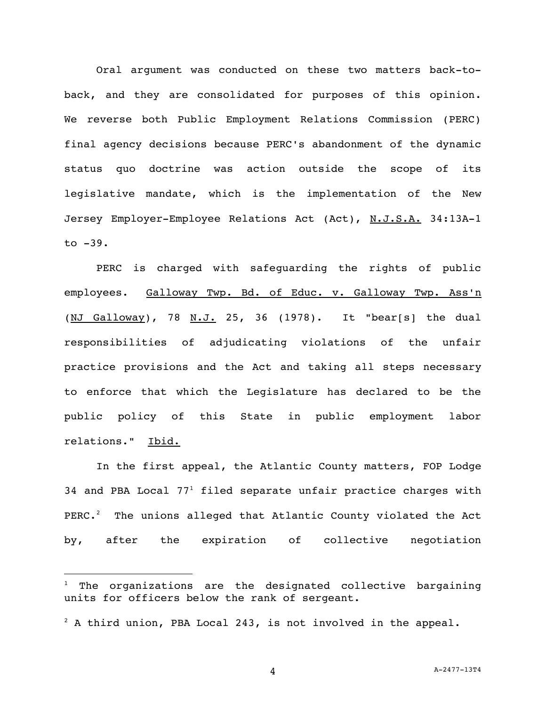Oral argument was conducted on these two matters back-toback, and they are consolidated for purposes of this opinion. We reverse both Public Employment Relations Commission (PERC) final agency decisions because PERC's abandonment of the dynamic status quo doctrine was action outside the scope of its legislative mandate, which is the implementation of the New Jersey Employer-Employee Relations Act (Act), N.J.S.A. 34:13A-1 to  $-39$ .

PERC is charged with safeguarding the rights of public employees. Galloway Twp. Bd. of Educ. v. Galloway Twp. Ass'n (NJ Galloway), 78 N.J. 25, 36 (1978). It "bear[s] the dual responsibilities of adjudicating violations of the unfair practice provisions and the Act and taking all steps necessary to enforce that which the Legislature has declared to be the public policy of this State in public employment labor relations." Ibid.

In the first appeal, the Atlantic County matters, FOP Lodge 34 and PBA Local  $77<sup>1</sup>$  filed separate unfair practice charges with PERC.<sup>2</sup> The unions alleged that Atlantic County violated the Act by, after the expiration of collective negotiation

i<br>L

The organizations are the designated collective bargaining units for officers below the rank of sergeant.

 $2^2$  A third union, PBA Local 243, is not involved in the appeal.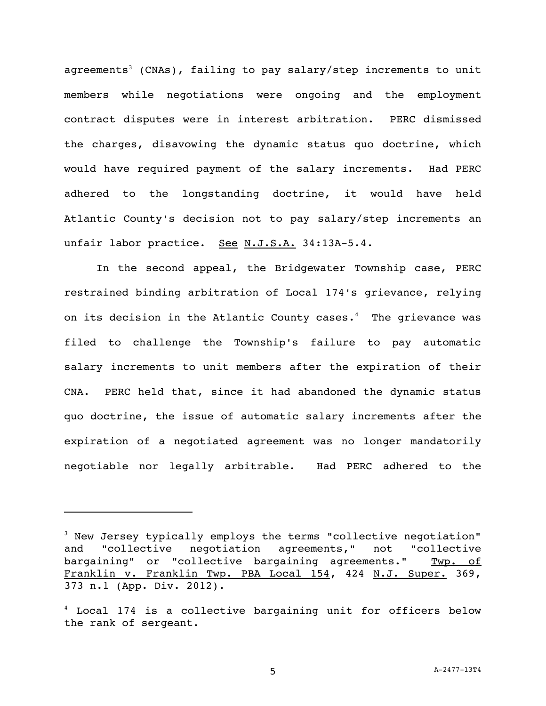agreements<sup>3</sup> (CNAs), failing to pay salary/step increments to unit members while negotiations were ongoing and the employment contract disputes were in interest arbitration. PERC dismissed the charges, disavowing the dynamic status quo doctrine, which would have required payment of the salary increments. Had PERC adhered to the longstanding doctrine, it would have held Atlantic County's decision not to pay salary/step increments an unfair labor practice. See N.J.S.A. 34:13A-5.4.

In the second appeal, the Bridgewater Township case, PERC restrained binding arbitration of Local 174's grievance, relying on its decision in the Atlantic County cases. <sup>4</sup> The grievance was filed to challenge the Township's failure to pay automatic salary increments to unit members after the expiration of their CNA. PERC held that, since it had abandoned the dynamic status quo doctrine, the issue of automatic salary increments after the expiration of a negotiated agreement was no longer mandatorily negotiable nor legally arbitrable. Had PERC adhered to the

i<br>L

<sup>&</sup>lt;sup>3</sup> New Jersey typically employs the terms "collective negotiation" and "collective negotiation agreements," not "collective bargaining" or "collective bargaining agreements." Twp. of Franklin v. Franklin Twp. PBA Local 154, 424 N.J. Super. 369, 373 n.1 (App. Div. 2012).

<sup>4</sup> Local 174 is a collective bargaining unit for officers below the rank of sergeant.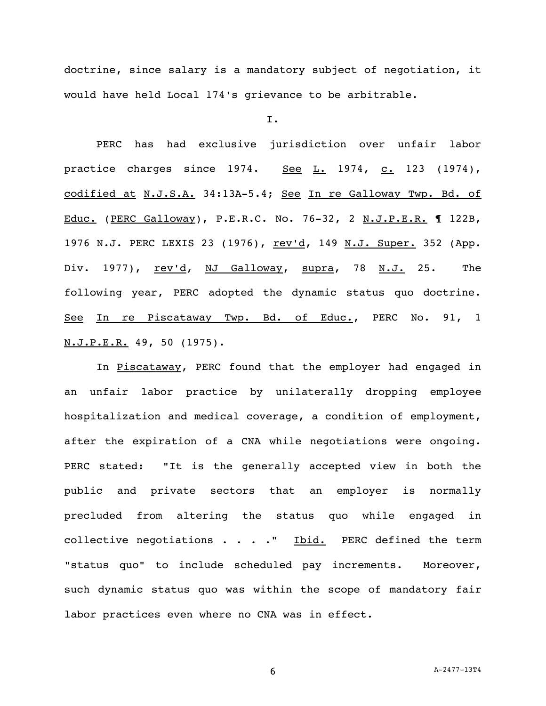doctrine, since salary is a mandatory subject of negotiation, it would have held Local 174's grievance to be arbitrable.

I.

PERC has had exclusive jurisdiction over unfair labor practice charges since  $1974.$  See L. 1974, c. 123 (1974), codified at N.J.S.A. 34:13A-5.4; See In re Galloway Twp. Bd. of Educ. (PERC Galloway), P.E.R.C. No. 76-32, 2 N.J.P.E.R. ¶ 122B, 1976 N.J. PERC LEXIS 23 (1976), rev'd, 149 N.J. Super. 352 (App. Div. 1977), rev'd, NJ Galloway, supra, 78 N.J. 25. The following year, PERC adopted the dynamic status quo doctrine. See In re Piscataway Twp. Bd. of Educ., PERC No. 91, 1 N.J.P.E.R. 49, 50 (1975).

In Piscataway, PERC found that the employer had engaged in an unfair labor practice by unilaterally dropping employee hospitalization and medical coverage, a condition of employment, after the expiration of a CNA while negotiations were ongoing. PERC stated: "It is the generally accepted view in both the public and private sectors that an employer is normally precluded from altering the status quo while engaged in collective negotiations  $\cdots$   $\cdots$  Thid. PERC defined the term "status quo" to include scheduled pay increments. Moreover, such dynamic status quo was within the scope of mandatory fair labor practices even where no CNA was in effect.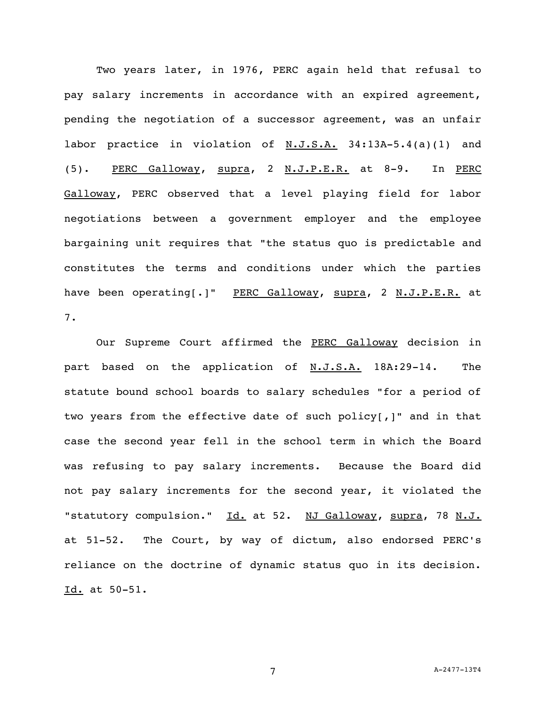Two years later, in 1976, PERC again held that refusal to pay salary increments in accordance with an expired agreement, pending the negotiation of a successor agreement, was an unfair labor practice in violation of N.J.S.A. 34:13A-5.4(a)(1) and (5). PERC Galloway, supra, 2 N.J.P.E.R. at 8-9. In PERC Galloway, PERC observed that a level playing field for labor negotiations between a government employer and the employee bargaining unit requires that "the status quo is predictable and constitutes the terms and conditions under which the parties have been operating[.]" PERC Galloway, supra, 2 N.J.P.E.R. at 7.

Our Supreme Court affirmed the PERC Galloway decision in part based on the application of N.J.S.A. 18A:29-14. The statute bound school boards to salary schedules "for a period of two years from the effective date of such policy[,]" and in that case the second year fell in the school term in which the Board was refusing to pay salary increments. Because the Board did not pay salary increments for the second year, it violated the "statutory compulsion." Id. at 52. NJ Galloway, supra, 78 N.J. at 51-52. The Court, by way of dictum, also endorsed PERC's reliance on the doctrine of dynamic status quo in its decision. Id. at 50-51.

7 A-2477-13T4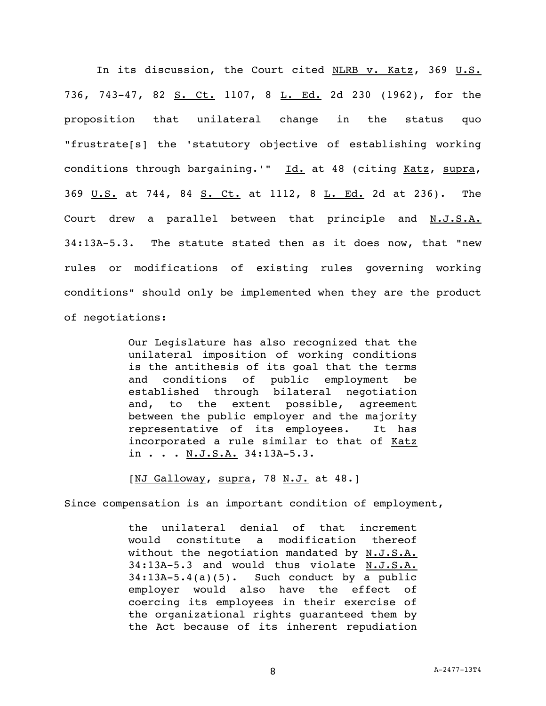In its discussion, the Court cited NLRB v. Katz, 369 U.S. 736, 743-47, 82 S. Ct. 1107, 8 L. Ed. 2d 230 (1962), for the proposition that unilateral change in the status quo "frustrate[s] the 'statutory objective of establishing working conditions through bargaining.'" Id. at 48 (citing Katz, supra, 369 U.S. at 744, 84 S. Ct. at 1112, 8 L. Ed. 2d at 236). The Court drew a parallel between that principle and N.J.S.A. 34:13A-5.3. The statute stated then as it does now, that "new rules or modifications of existing rules governing working conditions" should only be implemented when they are the product of negotiations:

> Our Legislature has also recognized that the unilateral imposition of working conditions is the antithesis of its goal that the terms and conditions of public employment be established through bilateral negotiation and, to the extent possible, agreement between the public employer and the majority representative of its employees. It has incorporated a rule similar to that of Katz in . . . N.J.S.A. 34:13A-5.3.

[NJ Galloway, supra, 78 N.J. at 48.]

Since compensation is an important condition of employment,

the unilateral denial of that increment would constitute a modification thereof without the negotiation mandated by N.J.S.A. 34:13A-5.3 and would thus violate N.J.S.A. 34:13A-5.4(a)(5). Such conduct by a public employer would also have the effect of coercing its employees in their exercise of the organizational rights guaranteed them by the Act because of its inherent repudiation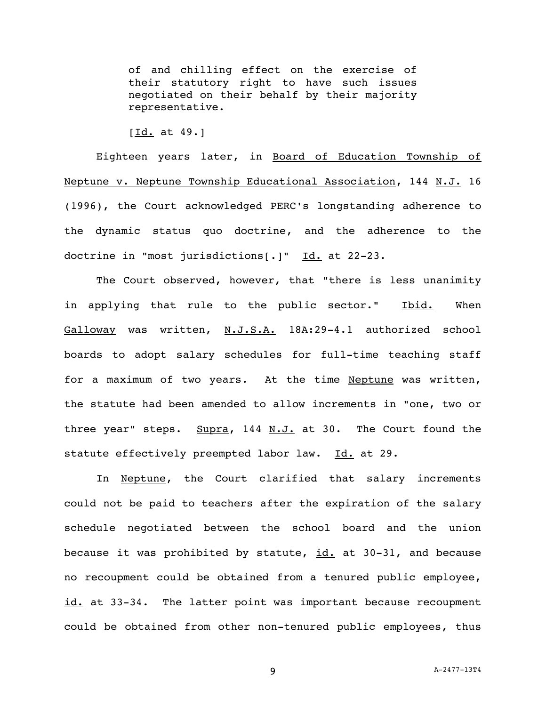of and chilling effect on the exercise of their statutory right to have such issues negotiated on their behalf by their majority representative.

 $[Id. at 49.]$ 

Eighteen years later, in Board of Education Township of Neptune v. Neptune Township Educational Association, 144 N.J. 16 (1996), the Court acknowledged PERC's longstanding adherence to the dynamic status quo doctrine, and the adherence to the doctrine in "most jurisdictions[.]" Id. at 22-23.

The Court observed, however, that "there is less unanimity in applying that rule to the public sector." Ibid. When Galloway was written, N.J.S.A. 18A:29-4.1 authorized school boards to adopt salary schedules for full-time teaching staff for a maximum of two years. At the time Neptune was written, the statute had been amended to allow increments in "one, two or three year" steps. Supra, 144 N.J. at 30. The Court found the statute effectively preempted labor law. Id. at 29.

In Neptune, the Court clarified that salary increments could not be paid to teachers after the expiration of the salary schedule negotiated between the school board and the union because it was prohibited by statute, id. at 30-31, and because no recoupment could be obtained from a tenured public employee, id. at 33-34. The latter point was important because recoupment could be obtained from other non-tenured public employees, thus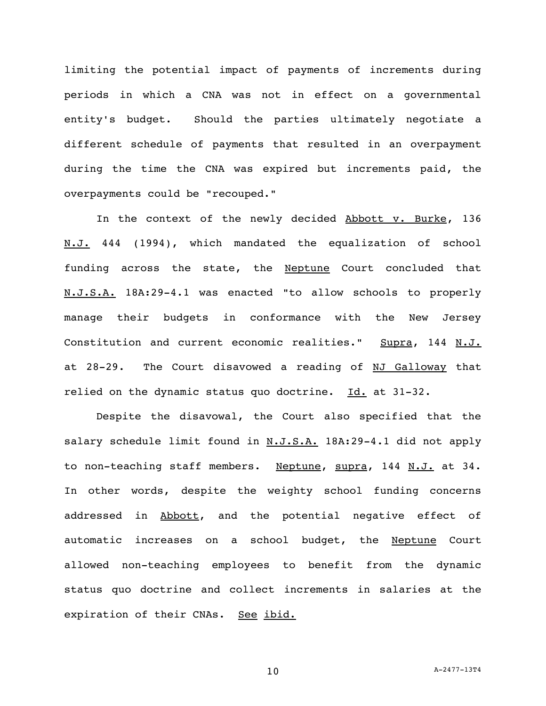limiting the potential impact of payments of increments during periods in which a CNA was not in effect on a governmental entity's budget. Should the parties ultimately negotiate a different schedule of payments that resulted in an overpayment during the time the CNA was expired but increments paid, the overpayments could be "recouped."

In the context of the newly decided Abbott v. Burke, 136 N.J. 444 (1994), which mandated the equalization of school funding across the state, the Neptune Court concluded that N.J.S.A. 18A:29-4.1 was enacted "to allow schools to properly manage their budgets in conformance with the New Jersey Constitution and current economic realities." Supra, 144 N.J. at 28-29. The Court disavowed a reading of NJ Galloway that relied on the dynamic status quo doctrine. Id. at 31-32.

Despite the disavowal, the Court also specified that the salary schedule limit found in N.J.S.A. 18A:29-4.1 did not apply to non-teaching staff members. Neptune, supra, 144 N.J. at 34. In other words, despite the weighty school funding concerns addressed in Abbott, and the potential negative effect of automatic increases on a school budget, the Neptune Court allowed non-teaching employees to benefit from the dynamic status quo doctrine and collect increments in salaries at the expiration of their CNAs. See ibid.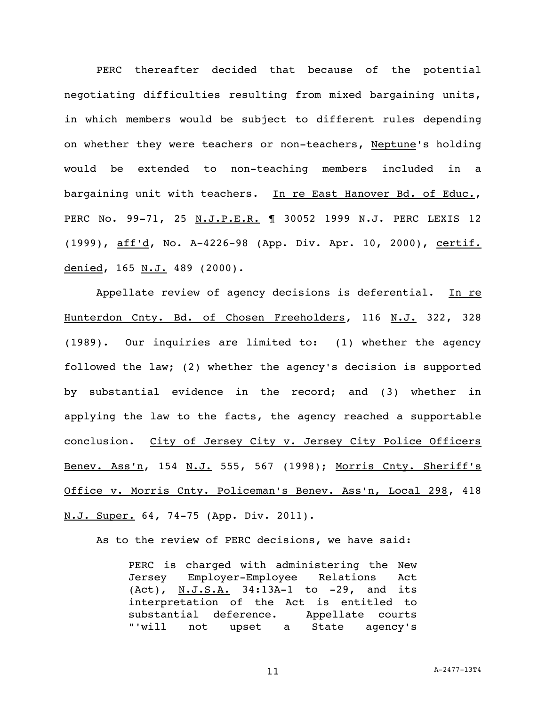PERC thereafter decided that because of the potential negotiating difficulties resulting from mixed bargaining units, in which members would be subject to different rules depending on whether they were teachers or non-teachers, Neptune's holding would be extended to non-teaching members included in a bargaining unit with teachers. In re East Hanover Bd. of Educ., PERC No. 99-71, 25 N.J.P.E.R. 1 30052 1999 N.J. PERC LEXIS 12 (1999), aff'd, No. A-4226-98 (App. Div. Apr. 10, 2000), certif. denied, 165 N.J. 489 (2000).

Appellate review of agency decisions is deferential. In re Hunterdon Cnty. Bd. of Chosen Freeholders, 116 N.J. 322, 328 (1989). Our inquiries are limited to: (1) whether the agency followed the law; (2) whether the agency's decision is supported by substantial evidence in the record; and (3) whether in applying the law to the facts, the agency reached a supportable conclusion. City of Jersey City v. Jersey City Police Officers Benev. Ass'n, 154 N.J. 555, 567 (1998); Morris Cnty. Sheriff's Office v. Morris Cnty. Policeman's Benev. Ass'n, Local 298, 418 N.J. Super. 64, 74-75 (App. Div. 2011).

As to the review of PERC decisions, we have said:

PERC is charged with administering the New Jersey Employer-Employee Relations Act (Act), N.J.S.A. 34:13A-1 to -29, and its interpretation of the Act is entitled to substantial deference. Appellate courts "'will not upset a State agency's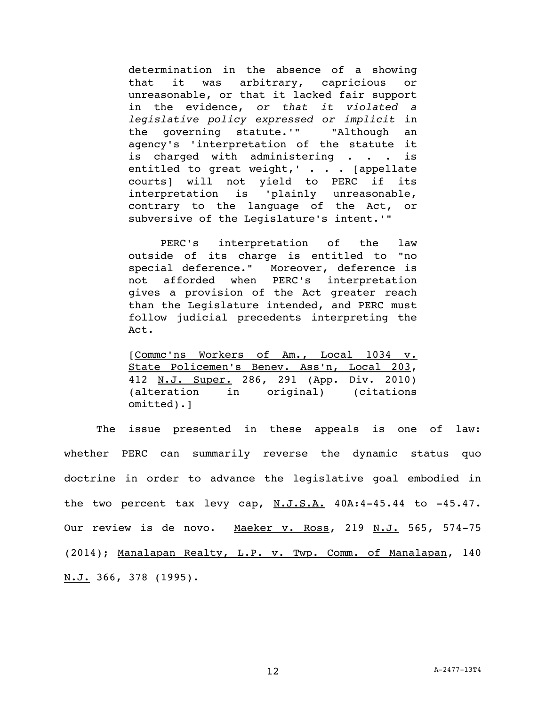determination in the absence of a showing that it was arbitrary, capricious or unreasonable, or that it lacked fair support in the evidence, *or that it violated a legislative policy expressed or implicit* in the governing statute.'" "Although an agency's 'interpretation of the statute it is charged with administering . . . is entitled to great weight,' . . . [appellate courts] will not yield to PERC if its interpretation is 'plainly unreasonable, contrary to the language of the Act, or subversive of the Legislature's intent.'"

PERC's interpretation of the law outside of its charge is entitled to "no special deference." Moreover, deference is not afforded when PERC's interpretation gives a provision of the Act greater reach than the Legislature intended, and PERC must follow judicial precedents interpreting the Act.

[Commc'ns Workers of Am., Local 1034 v. State Policemen's Benev. Ass'n, Local 203, 412 N.J. Super. 286, 291 (App. Div. 2010) (alteration in original) (citations omitted).]

The issue presented in these appeals is one of law: whether PERC can summarily reverse the dynamic status quo doctrine in order to advance the legislative goal embodied in the two percent tax levy cap,  $N.J.S.A.$  40A:4-45.44 to -45.47. Our review is de novo. Maeker v. Ross, 219 N.J. 565, 574-75 (2014); Manalapan Realty, L.P. v. Twp. Comm. of Manalapan, 140  $N.J. 366, 378 (1995).$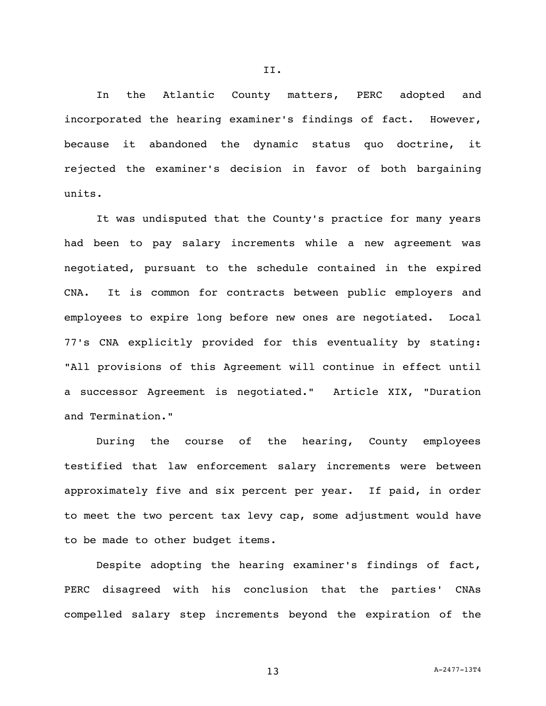In the Atlantic County matters, PERC adopted and incorporated the hearing examiner's findings of fact. However, because it abandoned the dynamic status quo doctrine, it rejected the examiner's decision in favor of both bargaining units.

It was undisputed that the County's practice for many years had been to pay salary increments while a new agreement was negotiated, pursuant to the schedule contained in the expired CNA. It is common for contracts between public employers and employees to expire long before new ones are negotiated. Local 77's CNA explicitly provided for this eventuality by stating: "All provisions of this Agreement will continue in effect until a successor Agreement is negotiated." Article XIX, "Duration and Termination."

During the course of the hearing, County employees testified that law enforcement salary increments were between approximately five and six percent per year. If paid, in order to meet the two percent tax levy cap, some adjustment would have to be made to other budget items.

Despite adopting the hearing examiner's findings of fact, PERC disagreed with his conclusion that the parties' CNAs compelled salary step increments beyond the expiration of the

$$
\texttt{II.}
$$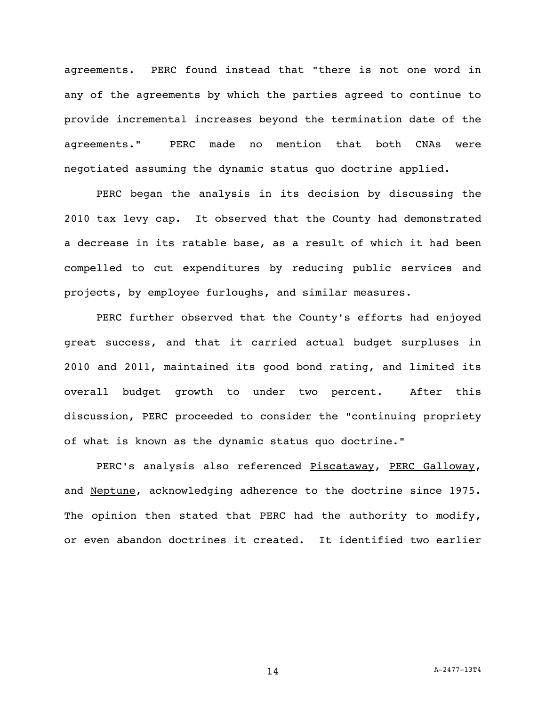agreements. PERC found instead that "there is not one word in any of the agreements by which the parties agreed to continue to provide incremental increases beyond the termination date of the agreements." PERC made no mention that both CNAs were negotiated assuming the dynamic status quo doctrine applied.

PERC began the analysis in its decision by discussing the 2010 tax levy cap. It observed that the County had demonstrated a decrease in its ratable base, as a result of which it had been compelled to cut expenditures by reducing public services and projects, by employee furloughs, and similar measures.

PERC further observed that the County's efforts had enjoyed great success, and that it carried actual budget surpluses in 2010 and 2011, maintained its good bond rating, and limited its overall budget growth to under two percent. After this discussion, PERC proceeded to consider the "continuing propriety of what is known as the dynamic status quo doctrine."

PERC's analysis also referenced Piscataway, PERC Galloway, and Neptune, acknowledging adherence to the doctrine since 1975. The opinion then stated that PERC had the authority to modify, or even abandon doctrines it created. It identified two earlier

14 A-2477-13T4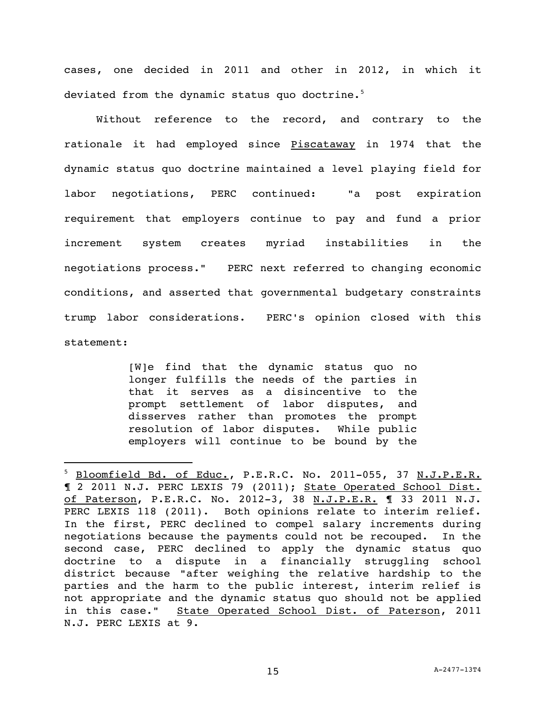cases, one decided in 2011 and other in 2012, in which it deviated from the dynamic status quo doctrine.<sup>5</sup>

Without reference to the record, and contrary to the rationale it had employed since Piscataway in 1974 that the dynamic status quo doctrine maintained a level playing field for labor negotiations, PERC continued: "a post expiration requirement that employers continue to pay and fund a prior increment system creates myriad instabilities in the negotiations process." PERC next referred to changing economic conditions, and asserted that governmental budgetary constraints trump labor considerations. PERC's opinion closed with this statement:

> [W]e find that the dynamic status quo no longer fulfills the needs of the parties in that it serves as a disincentive to the prompt settlement of labor disputes, and disserves rather than promotes the prompt resolution of labor disputes. While public employers will continue to be bound by the

i<br>L

<sup>&</sup>lt;sup>5</sup> Bloomfield Bd. of Educ., P.E.R.C. No. 2011-055, 37 N.J.P.E.R. ¶ 2 2011 N.J. PERC LEXIS 79 (2011); State Operated School Dist. of Paterson, P.E.R.C. No. 2012-3, 38 N.J.P.E.R. ¶ 33 2011 N.J. PERC LEXIS 118 (2011). Both opinions relate to interim relief. In the first, PERC declined to compel salary increments during negotiations because the payments could not be recouped. In the second case, PERC declined to apply the dynamic status quo doctrine to a dispute in a financially struggling school district because "after weighing the relative hardship to the parties and the harm to the public interest, interim relief is not appropriate and the dynamic status quo should not be applied in this case." State Operated School Dist. of Paterson, 2011 N.J. PERC LEXIS at 9.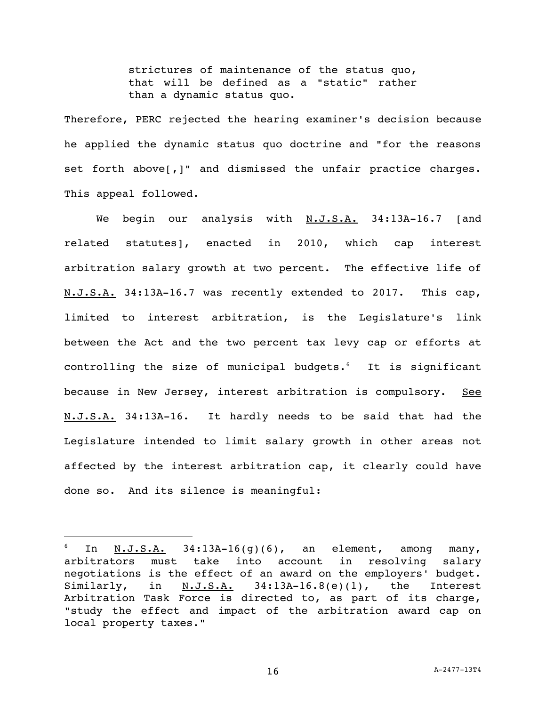strictures of maintenance of the status quo, that will be defined as a "static" rather than a dynamic status quo.

Therefore, PERC rejected the hearing examiner's decision because he applied the dynamic status quo doctrine and "for the reasons set forth above[,]" and dismissed the unfair practice charges. This appeal followed.

We begin our analysis with  $N.J.S.A.$  34:13A-16.7 [and related statutes], enacted in 2010, which cap interest arbitration salary growth at two percent. The effective life of N.J.S.A. 34:13A-16.7 was recently extended to 2017. This cap, limited to interest arbitration, is the Legislature's link between the Act and the two percent tax levy cap or efforts at controlling the size of municipal budgets. <sup>6</sup> It is significant because in New Jersey, interest arbitration is compulsory. See N.J.S.A. 34:13A-16. It hardly needs to be said that had the Legislature intended to limit salary growth in other areas not affected by the interest arbitration cap, it clearly could have done so. And its silence is meaningful:

i<br>L

In N.J.S.A. 34:13A-16(g)(6), an element, among many, arbitrators must take into account in resolving salary negotiations is the effect of an award on the employers' budget. Similarly, in  $N.J.S.A.$  34:13A-16.8(e)(1), the Interest Arbitration Task Force is directed to, as part of its charge, "study the effect and impact of the arbitration award cap on local property taxes."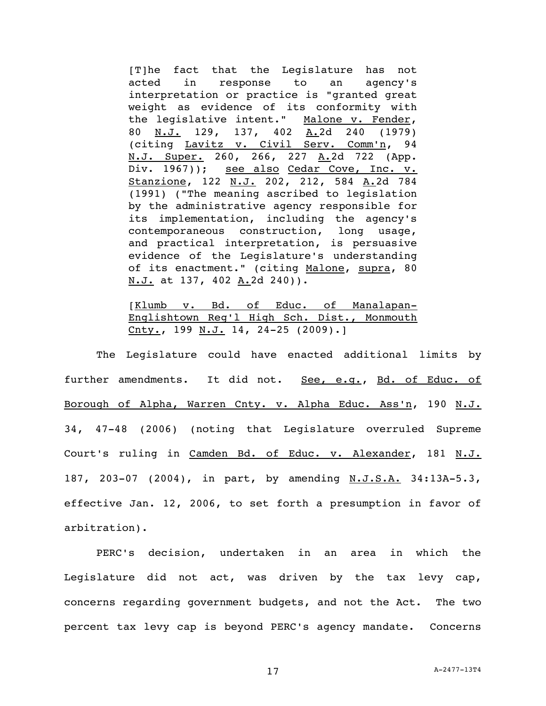[T]he fact that the Legislature has not acted in response to an agency's interpretation or practice is "granted great weight as evidence of its conformity with the legislative intent." Malone v. Fender, 80 N.J. 129, 137, 402 A.2d 240 (1979) (citing Lavitz v. Civil Serv. Comm'n, 94 N.J. Super. 260, 266, 227 A.2d 722 (App. Div. 1967)); see also Cedar Cove, Inc. v. Stanzione, 122 N.J. 202, 212, 584 A.2d 784 (1991) ("The meaning ascribed to legislation by the administrative agency responsible for its implementation, including the agency's contemporaneous construction, long usage, and practical interpretation, is persuasive evidence of the Legislature's understanding of its enactment." (citing Malone, supra, 80 N.J. at 137, 402 A.2d 240)).

[Klumb v. Bd. of Educ. of Manalapan-Englishtown Reg'l High Sch. Dist., Monmouth Cnty., 199 N.J. 14, 24-25 (2009).]

The Legislature could have enacted additional limits by further amendments. It did not. See, e.g., Bd. of Educ. of Borough of Alpha, Warren Cnty. v. Alpha Educ. Ass'n, 190 N.J. 34, 47-48 (2006) (noting that Legislature overruled Supreme Court's ruling in Camden Bd. of Educ. v. Alexander, 181 N.J. 187, 203-07 (2004), in part, by amending N.J.S.A. 34:13A-5.3, effective Jan. 12, 2006, to set forth a presumption in favor of arbitration).

PERC's decision, undertaken in an area in which the Legislature did not act, was driven by the tax levy cap, concerns regarding government budgets, and not the Act. The two percent tax levy cap is beyond PERC's agency mandate. Concerns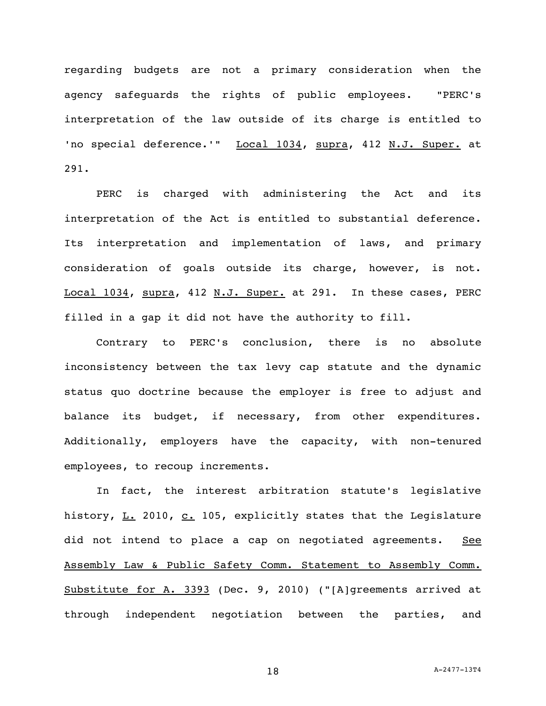regarding budgets are not a primary consideration when the agency safeguards the rights of public employees. "PERC's interpretation of the law outside of its charge is entitled to 'no special deference.'" Local 1034, supra, 412 N.J. Super. at 291.

PERC is charged with administering the Act and its interpretation of the Act is entitled to substantial deference. Its interpretation and implementation of laws, and primary consideration of goals outside its charge, however, is not. Local 1034, supra, 412 N.J. Super. at 291. In these cases, PERC filled in a gap it did not have the authority to fill.

Contrary to PERC's conclusion, there is no absolute inconsistency between the tax levy cap statute and the dynamic status quo doctrine because the employer is free to adjust and balance its budget, if necessary, from other expenditures. Additionally, employers have the capacity, with non-tenured employees, to recoup increments.

In fact, the interest arbitration statute's legislative history,  $L. 2010$ ,  $C. 105$ , explicitly states that the Legislature did not intend to place a cap on negotiated agreements. See Assembly Law & Public Safety Comm. Statement to Assembly Comm. Substitute for A. 3393 (Dec. 9, 2010) ("[A]greements arrived at through independent negotiation between the parties, and

18 A-2477-13T4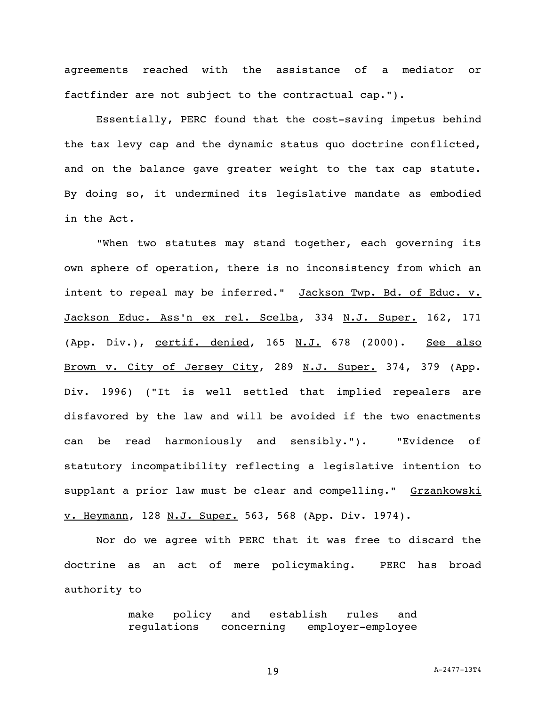agreements reached with the assistance of a mediator or factfinder are not subject to the contractual cap.").

Essentially, PERC found that the cost-saving impetus behind the tax levy cap and the dynamic status quo doctrine conflicted, and on the balance gave greater weight to the tax cap statute. By doing so, it undermined its legislative mandate as embodied in the Act.

"When two statutes may stand together, each governing its own sphere of operation, there is no inconsistency from which an intent to repeal may be inferred." Jackson Twp. Bd. of Educ. v. Jackson Educ. Ass'n ex rel. Scelba, 334 N.J. Super. 162, 171 (App. Div.), certif. denied, 165 N.J. 678 (2000). See also Brown v. City of Jersey City, 289 N.J. Super. 374, 379 (App. Div. 1996) ("It is well settled that implied repealers are disfavored by the law and will be avoided if the two enactments can be read harmoniously and sensibly."). "Evidence of statutory incompatibility reflecting a legislative intention to supplant a prior law must be clear and compelling." Grzankowski v. Heymann, 128 N.J. Super. 563, 568 (App. Div. 1974).

Nor do we agree with PERC that it was free to discard the doctrine as an act of mere policymaking. PERC has broad authority to

> make policy and establish rules and regulations concerning employer-employee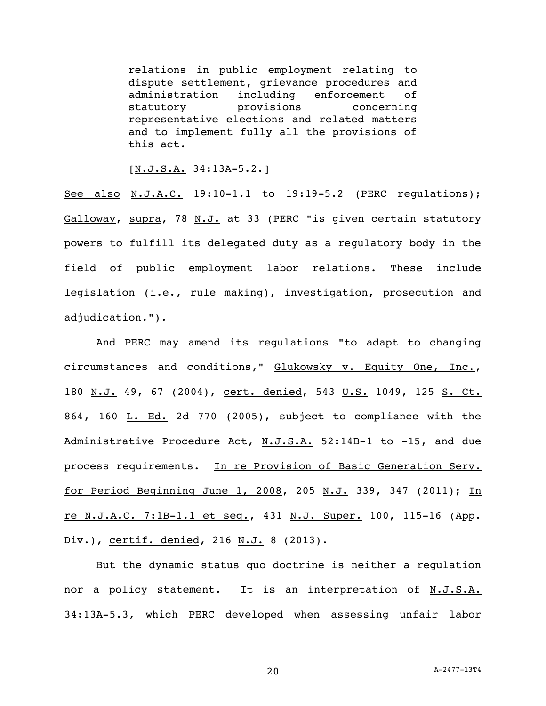relations in public employment relating to dispute settlement, grievance procedures and administration including enforcement of statutory **provisions** concerning representative elections and related matters and to implement fully all the provisions of this act.

[N.J.S.A. 34:13A-5.2.]

See also N.J.A.C. 19:10-1.1 to 19:19-5.2 (PERC regulations); Galloway, supra, 78 N.J. at 33 (PERC "is given certain statutory powers to fulfill its delegated duty as a regulatory body in the field of public employment labor relations. These include legislation (i.e., rule making), investigation, prosecution and adjudication.").

And PERC may amend its regulations "to adapt to changing circumstances and conditions," Glukowsky v. Equity One, Inc., 180 N.J. 49, 67 (2004), cert. denied, 543 U.S. 1049, 125 S. Ct. 864, 160 L. Ed. 2d 770 (2005), subject to compliance with the Administrative Procedure Act, N.J.S.A. 52:14B-1 to -15, and due process requirements. In re Provision of Basic Generation Serv. for Period Beginning June 1, 2008, 205 N.J. 339, 347 (2011); In re N.J.A.C. 7:1B-1.1 et seq., 431 N.J. Super. 100, 115-16 (App. Div.), certif. denied, 216 N.J. 8 (2013).

But the dynamic status quo doctrine is neither a regulation nor a policy statement. It is an interpretation of N.J.S.A. 34:13A-5.3, which PERC developed when assessing unfair labor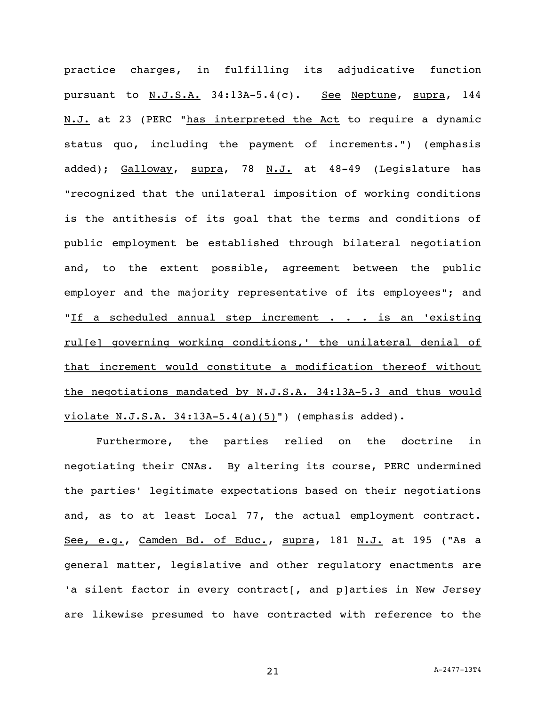practice charges, in fulfilling its adjudicative function pursuant to N.J.S.A. 34:13A-5.4(c). See Neptune, supra, 144 N.J. at 23 (PERC "has interpreted the Act to require a dynamic status quo, including the payment of increments.") (emphasis added); Galloway, supra, 78 N.J. at 48-49 (Legislature has "recognized that the unilateral imposition of working conditions is the antithesis of its goal that the terms and conditions of public employment be established through bilateral negotiation and, to the extent possible, agreement between the public employer and the majority representative of its employees"; and "If a scheduled annual step increment  $\cdot \cdot \cdot$  is an 'existing rul[e] governing working conditions,' the unilateral denial of that increment would constitute a modification thereof without the negotiations mandated by N.J.S.A. 34:13A-5.3 and thus would violate N.J.S.A.  $34:13A-5.4(a)(5)$ ") (emphasis added).

Furthermore, the parties relied on the doctrine in negotiating their CNAs. By altering its course, PERC undermined the parties' legitimate expectations based on their negotiations and, as to at least Local 77, the actual employment contract. See, e.g., Camden Bd. of Educ., supra, 181 N.J. at 195 ("As a general matter, legislative and other regulatory enactments are 'a silent factor in every contract[, and p]arties in New Jersey are likewise presumed to have contracted with reference to the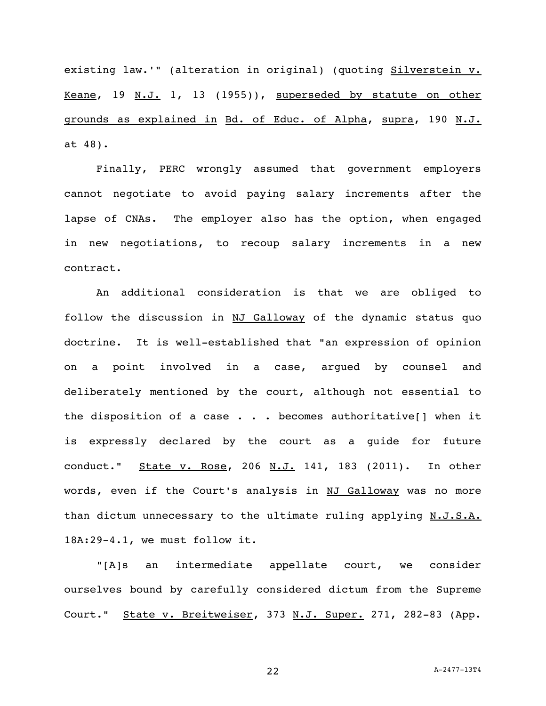existing law.'" (alteration in original) (quoting Silverstein v. Keane, 19 N.J. 1, 13 (1955)), superseded by statute on other grounds as explained in Bd. of Educ. of Alpha, supra, 190 N.J. at 48).

Finally, PERC wrongly assumed that government employers cannot negotiate to avoid paying salary increments after the lapse of CNAs. The employer also has the option, when engaged in new negotiations, to recoup salary increments in a new contract.

An additional consideration is that we are obliged to follow the discussion in NJ Galloway of the dynamic status quo doctrine. It is well-established that "an expression of opinion on a point involved in a case, argued by counsel and deliberately mentioned by the court, although not essential to the disposition of a case  $\ldots$  becomes authoritative[] when it is expressly declared by the court as a guide for future conduct." State v. Rose, 206 N.J. 141, 183 (2011). In other words, even if the Court's analysis in NJ Galloway was no more than dictum unnecessary to the ultimate ruling applying N.J.S.A. 18A:29-4.1, we must follow it.

"[A]s an intermediate appellate court, we consider ourselves bound by carefully considered dictum from the Supreme Court." State v. Breitweiser, 373 N.J. Super. 271, 282-83 (App.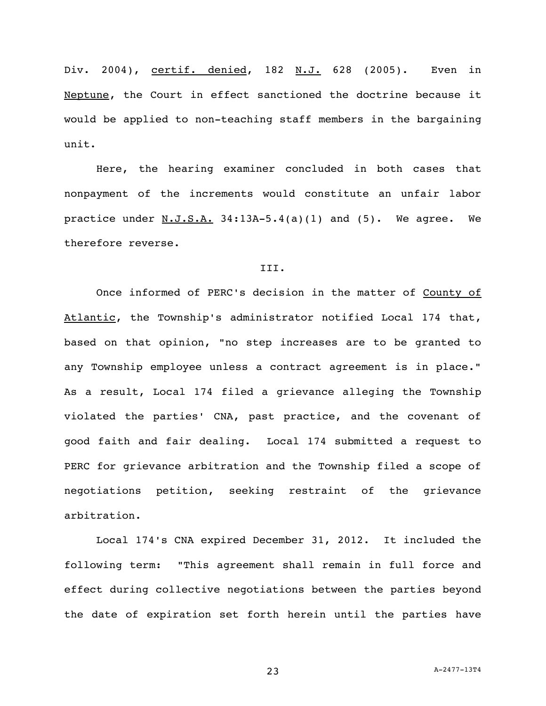Div. 2004), certif. denied, 182 N.J. 628 (2005). Even in Neptune, the Court in effect sanctioned the doctrine because it would be applied to non-teaching staff members in the bargaining unit.

Here, the hearing examiner concluded in both cases that nonpayment of the increments would constitute an unfair labor practice under  $N.J.S.A. 34:13A-5.4(a)(1)$  and  $(5)$ . We agree. We therefore reverse.

## III.

Once informed of PERC's decision in the matter of County of Atlantic, the Township's administrator notified Local 174 that, based on that opinion, "no step increases are to be granted to any Township employee unless a contract agreement is in place." As a result, Local 174 filed a grievance alleging the Township violated the parties' CNA, past practice, and the covenant of good faith and fair dealing. Local 174 submitted a request to PERC for grievance arbitration and the Township filed a scope of negotiations petition, seeking restraint of the grievance arbitration.

Local 174's CNA expired December 31, 2012. It included the following term: "This agreement shall remain in full force and effect during collective negotiations between the parties beyond the date of expiration set forth herein until the parties have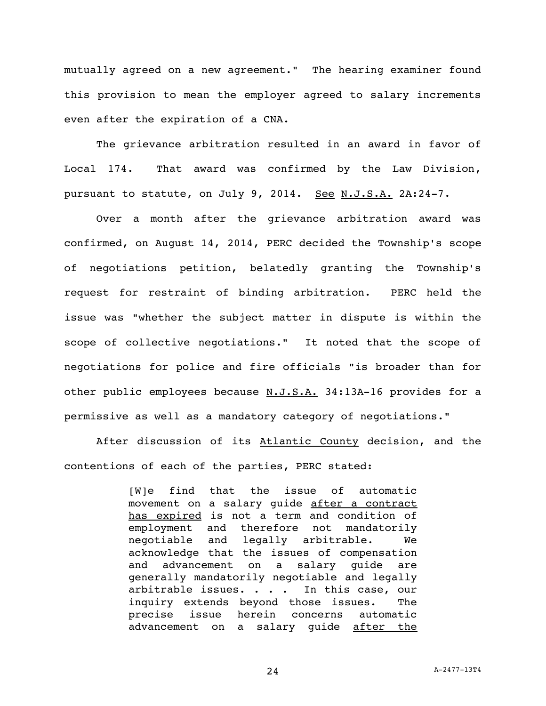mutually agreed on a new agreement." The hearing examiner found this provision to mean the employer agreed to salary increments even after the expiration of a CNA.

The grievance arbitration resulted in an award in favor of Local 174. That award was confirmed by the Law Division, pursuant to statute, on July 9, 2014. See N.J.S.A. 2A:24-7.

Over a month after the grievance arbitration award was confirmed, on August 14, 2014, PERC decided the Township's scope of negotiations petition, belatedly granting the Township's request for restraint of binding arbitration. PERC held the issue was "whether the subject matter in dispute is within the scope of collective negotiations." It noted that the scope of negotiations for police and fire officials "is broader than for other public employees because N.J.S.A. 34:13A-16 provides for a permissive as well as a mandatory category of negotiations."

After discussion of its Atlantic County decision, and the contentions of each of the parties, PERC stated:

> [W]e find that the issue of automatic movement on a salary guide after a contract has expired is not a term and condition of employment and therefore not mandatorily negotiable and legally arbitrable. We acknowledge that the issues of compensation and advancement on a salary guide are generally mandatorily negotiable and legally arbitrable issues. . . . In this case, our inquiry extends beyond those issues. The precise issue herein concerns automatic advancement on a salary guide after the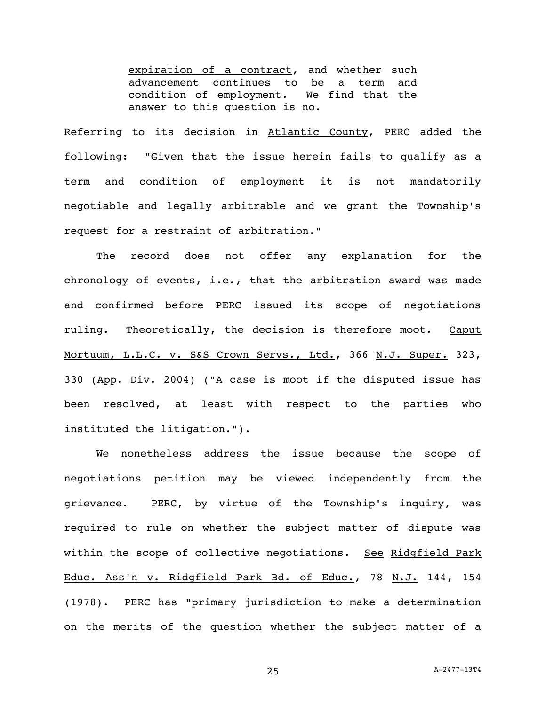expiration of a contract, and whether such advancement continues to be a term and condition of employment. We find that the answer to this question is no.

Referring to its decision in Atlantic County, PERC added the following: "Given that the issue herein fails to qualify as a term and condition of employment it is not mandatorily negotiable and legally arbitrable and we grant the Township's request for a restraint of arbitration."

The record does not offer any explanation for the chronology of events, i.e., that the arbitration award was made and confirmed before PERC issued its scope of negotiations ruling. Theoretically, the decision is therefore moot. Caput Mortuum, L.L.C. v. S&S Crown Servs., Ltd., 366 N.J. Super. 323, 330 (App. Div. 2004) ("A case is moot if the disputed issue has been resolved, at least with respect to the parties who instituted the litigation.").

We nonetheless address the issue because the scope of negotiations petition may be viewed independently from the grievance. PERC, by virtue of the Township's inquiry, was required to rule on whether the subject matter of dispute was within the scope of collective negotiations. See Ridgfield Park Educ. Ass'n v. Ridgfield Park Bd. of Educ., 78 N.J. 144, 154 (1978). PERC has "primary jurisdiction to make a determination on the merits of the question whether the subject matter of a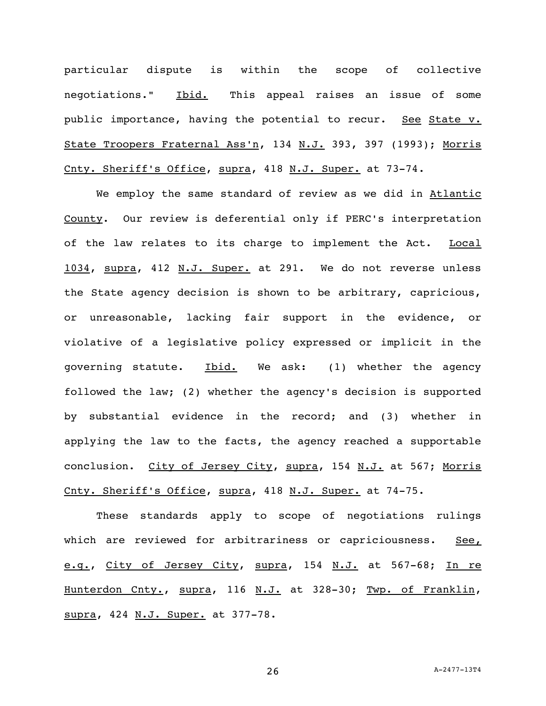particular dispute is within the scope of collective negotiations." Ibid. This appeal raises an issue of some public importance, having the potential to recur. See State v. State Troopers Fraternal Ass'n, 134 N.J. 393, 397 (1993); Morris Cnty. Sheriff's Office, supra, 418 N.J. Super. at 73-74.

We employ the same standard of review as we did in Atlantic County. Our review is deferential only if PERC's interpretation of the law relates to its charge to implement the Act. Local 1034, supra, 412 N.J. Super. at 291. We do not reverse unless the State agency decision is shown to be arbitrary, capricious, or unreasonable, lacking fair support in the evidence, or violative of a legislative policy expressed or implicit in the governing statute. Ibid. We ask: (1) whether the agency followed the law; (2) whether the agency's decision is supported by substantial evidence in the record; and (3) whether in applying the law to the facts, the agency reached a supportable conclusion. City of Jersey City, supra, 154 N.J. at 567; Morris Cnty. Sheriff's Office, supra, 418 N.J. Super. at 74-75.

These standards apply to scope of negotiations rulings which are reviewed for arbitrariness or capriciousness. See, e.g., City of Jersey City, supra, 154 N.J. at 567-68; In re Hunterdon Cnty., supra, 116 N.J. at 328-30; Twp. of Franklin, supra, 424 N.J. Super. at 377-78.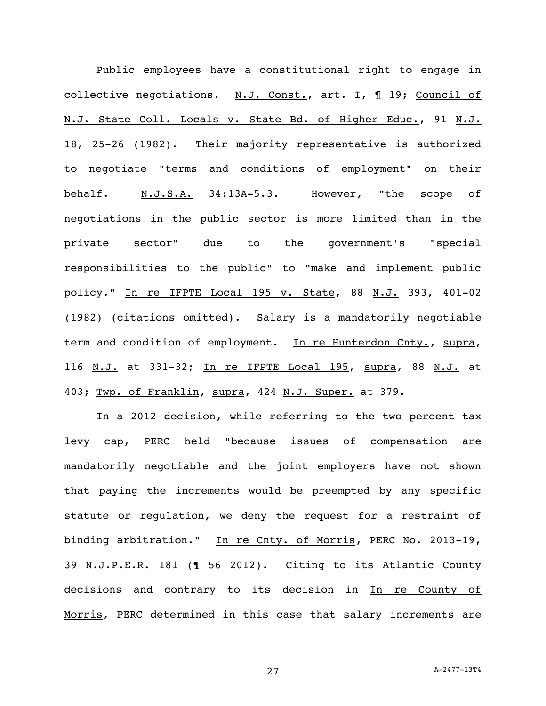Public employees have a constitutional right to engage in collective negotiations. N.J. Const., art. I, 19; Council of N.J. State Coll. Locals v. State Bd. of Higher Educ., 91 N.J. 18, 25-26 (1982). Their majority representative is authorized to negotiate "terms and conditions of employment" on their behalf. N.J.S.A. 34:13A-5.3. However, "the scope of negotiations in the public sector is more limited than in the private sector" due to the government's "special responsibilities to the public" to "make and implement public policy." In re IFPTE Local 195 v. State, 88 N.J. 393, 401-02 (1982) (citations omitted). Salary is a mandatorily negotiable term and condition of employment. In re Hunterdon Cnty., supra, 116 N.J. at 331-32; In re IFPTE Local 195, supra, 88 N.J. at 403; Twp. of Franklin, supra, 424 N.J. Super. at 379.

In a 2012 decision, while referring to the two percent tax levy cap, PERC held "because issues of compensation are mandatorily negotiable and the joint employers have not shown that paying the increments would be preempted by any specific statute or regulation, we deny the request for a restraint of binding arbitration." In re Cnty. of Morris, PERC No. 2013-19, 39 N.J.P.E.R. 181 (¶ 56 2012). Citing to its Atlantic County decisions and contrary to its decision in In re County of Morris, PERC determined in this case that salary increments are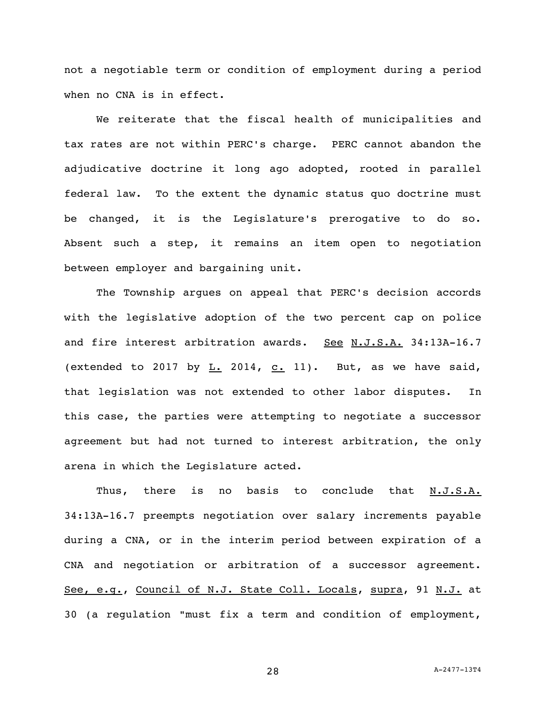not a negotiable term or condition of employment during a period when no CNA is in effect.

We reiterate that the fiscal health of municipalities and tax rates are not within PERC's charge. PERC cannot abandon the adjudicative doctrine it long ago adopted, rooted in parallel federal law. To the extent the dynamic status quo doctrine must be changed, it is the Legislature's prerogative to do so. Absent such a step, it remains an item open to negotiation between employer and bargaining unit.

The Township argues on appeal that PERC's decision accords with the legislative adoption of the two percent cap on police and fire interest arbitration awards. See N.J.S.A. 34:13A-16.7 (extended to 2017 by  $L. 2014$ ,  $C. 11$ ). But, as we have said, that legislation was not extended to other labor disputes. In this case, the parties were attempting to negotiate a successor agreement but had not turned to interest arbitration, the only arena in which the Legislature acted.

Thus, there is no basis to conclude that N.J.S.A. 34:13A-16.7 preempts negotiation over salary increments payable during a CNA, or in the interim period between expiration of a CNA and negotiation or arbitration of a successor agreement. See, e.g., Council of N.J. State Coll. Locals, supra, 91 N.J. at 30 (a regulation "must fix a term and condition of employment,

28 A-2477-13T4